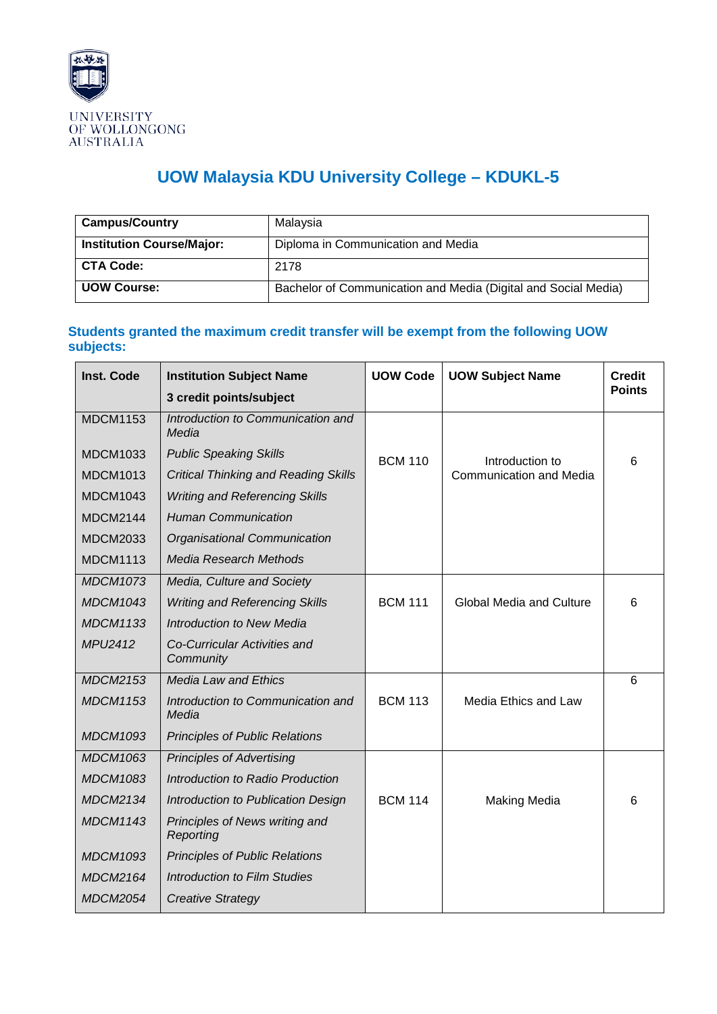

## **UOW Malaysia KDU University College – KDUKL-5**

| <b>Campus/Country</b>            | Malaysia                                                       |
|----------------------------------|----------------------------------------------------------------|
| <b>Institution Course/Major:</b> | Diploma in Communication and Media                             |
| <b>CTA Code:</b>                 | 2178                                                           |
| <b>UOW Course:</b>               | Bachelor of Communication and Media (Digital and Social Media) |

## **Students granted the maximum credit transfer will be exempt from the following UOW subjects:**

| <b>Inst. Code</b> | <b>Institution Subject Name</b>             | <b>UOW Code</b> | <b>UOW Subject Name</b>         | <b>Credit</b> |
|-------------------|---------------------------------------------|-----------------|---------------------------------|---------------|
|                   | 3 credit points/subject                     |                 |                                 | <b>Points</b> |
| <b>MDCM1153</b>   | Introduction to Communication and<br>Media  |                 |                                 |               |
| <b>MDCM1033</b>   | <b>Public Speaking Skills</b>               | <b>BCM 110</b>  | Introduction to                 | 6             |
| <b>MDCM1013</b>   | <b>Critical Thinking and Reading Skills</b> |                 | Communication and Media         |               |
| <b>MDCM1043</b>   | <b>Writing and Referencing Skills</b>       |                 |                                 |               |
| <b>MDCM2144</b>   | <b>Human Communication</b>                  |                 |                                 |               |
| <b>MDCM2033</b>   | Organisational Communication                |                 |                                 |               |
| <b>MDCM1113</b>   | <b>Media Research Methods</b>               |                 |                                 |               |
| <b>MDCM1073</b>   | Media, Culture and Society                  |                 |                                 |               |
| <b>MDCM1043</b>   | <b>Writing and Referencing Skills</b>       | <b>BCM 111</b>  | <b>Global Media and Culture</b> | 6             |
| <b>MDCM1133</b>   | <b>Introduction to New Media</b>            |                 |                                 |               |
| MPU2412           | Co-Curricular Activities and<br>Community   |                 |                                 |               |
| <b>MDCM2153</b>   | <b>Media Law and Ethics</b>                 |                 |                                 | 6             |
| <b>MDCM1153</b>   | Introduction to Communication and<br>Media  | <b>BCM 113</b>  | Media Ethics and Law            |               |
| <b>MDCM1093</b>   | <b>Principles of Public Relations</b>       |                 |                                 |               |
| <b>MDCM1063</b>   | <b>Principles of Advertising</b>            |                 |                                 |               |
| <b>MDCM1083</b>   | Introduction to Radio Production            |                 |                                 |               |
| <b>MDCM2134</b>   | Introduction to Publication Design          | <b>BCM 114</b>  | <b>Making Media</b>             | 6             |
| <b>MDCM1143</b>   | Principles of News writing and<br>Reporting |                 |                                 |               |
| <b>MDCM1093</b>   | <b>Principles of Public Relations</b>       |                 |                                 |               |
| <b>MDCM2164</b>   | <b>Introduction to Film Studies</b>         |                 |                                 |               |
| <b>MDCM2054</b>   | <b>Creative Strategy</b>                    |                 |                                 |               |